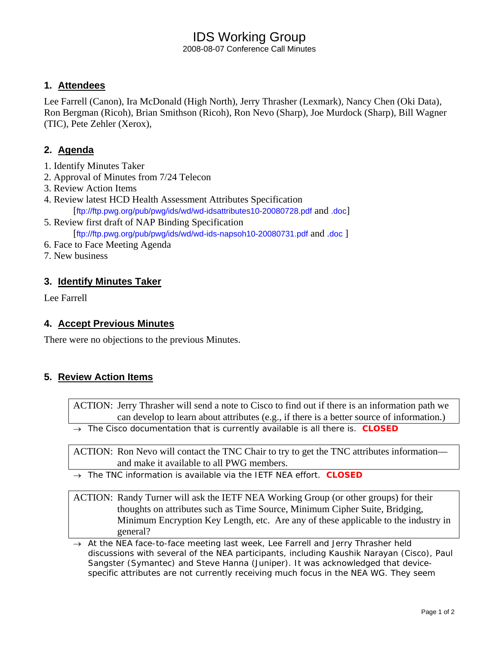# IDS Working Group

2008-08-07 Conference Call Minutes

### **1. Attendees**

Lee Farrell (Canon), Ira McDonald (High North), Jerry Thrasher (Lexmark), Nancy Chen (Oki Data), Ron Bergman (Ricoh), Brian Smithson (Ricoh), Ron Nevo (Sharp), Joe Murdock (Sharp), Bill Wagner (TIC), Pete Zehler (Xerox),

## **2. Agenda**

- 1. Identify Minutes Taker
- 2. Approval of Minutes from 7/24 Telecon
- 3. Review Action Items
- 4. Review latest HCD Health Assessment Attributes Specification [ftp://ftp.pwg.org/pub/pwg/ids/wd/wd-idsattributes10-20080728.pdf and .doc]
- 5. Review first draft of NAP Binding Specification [ftp://ftp.pwg.org/pub/pwg/ids/wd/wd-ids-napsoh10-20080731.pdf and .doc ]
- 6. Face to Face Meeting Agenda
- 7. New business

### **3. Identify Minutes Taker**

Lee Farrell

### **4. Accept Previous Minutes**

There were no objections to the previous Minutes.

### **5. Review Action Items**

ACTION: Jerry Thrasher will send a note to Cisco to find out if there is an information path we can develop to learn about attributes (e.g., if there is a better source of information.)

→ *The Cisco documentation that is currently available is all there is. CLOSED* 

ACTION: Ron Nevo will contact the TNC Chair to try to get the TNC attributes information and make it available to all PWG members.

→ *The TNC information is available via the IETF NEA effort. CLOSED* 

ACTION: Randy Turner will ask the IETF NEA Working Group (or other groups) for their thoughts on attributes such as Time Source, Minimum Cipher Suite, Bridging, Minimum Encryption Key Length, etc. Are any of these applicable to the industry in general?

→ *At the NEA face-to-face meeting last week, Lee Farrell and Jerry Thrasher held discussions with several of the NEA participants, including Kaushik Narayan (Cisco), Paul Sangster (Symantec) and Steve Hanna (Juniper). It was acknowledged that devicespecific attributes are not currently receiving much focus in the NEA WG. They seem*